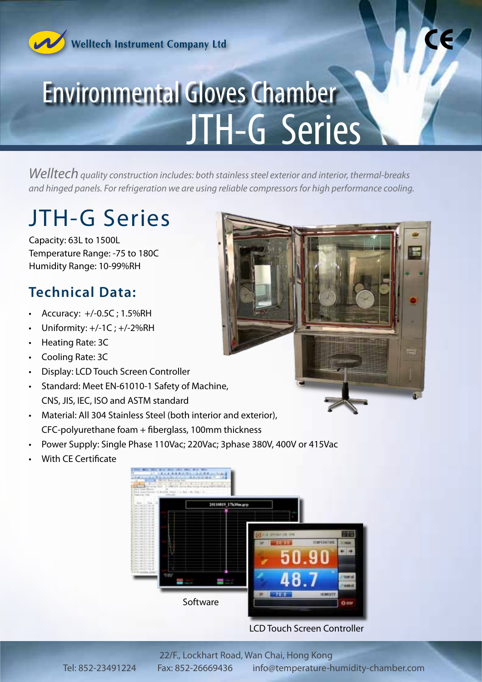

**Welltech Instrument Company Ltd** 

# Environmental Gloves Chamber JTH-G Series

*Welltech quality construction includes: both stainless steel exterior and interior, thermal-breaks and hinged panels. For refrigeration we are using reliable compressors for high performance cooling.*

# JTH-G Series

Capacity: 63L to 1500L Temperature Range: -75 to 180C Humidity Range: 10-99%RH

## **Technical Data:**

- Accuracy: +/-0.5C ; 1.5%RH
- Uniformity:  $+/-1C$ ;  $+/-2%RH$
- • Heating Rate: 3C
- **Cooling Rate: 3C**
- **Display: LCD Touch Screen Controller**
- Standard: Meet EN-61010-1 Safety of Machine, CNS, JIS, IEC, ISO and ASTM standard
- Material: All 304 Stainless Steel (both interior and exterior), CFC-polyurethane foam + fiberglass, 100mm thickness
- Power Supply: Single Phase 110Vac; 220Vac; 3phase 380V, 400V or 415Vac
- **With CE Certificate**

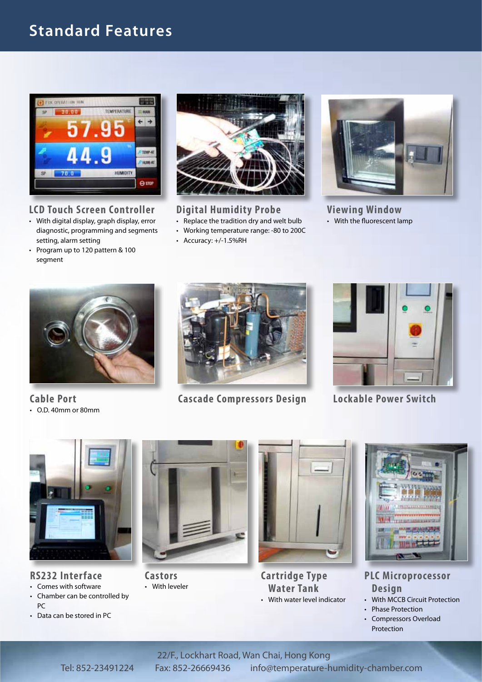# **Standard Features**



#### **LCD Touch Screen Controller**

- • With digital display, graph display, error diagnostic, programming and segments setting, alarm setting
- • Program up to 120 pattern & 100 segment



## **Digital Humidity Probe**

- Replace the tradition dry and welt bulb
- • Working temperature range: -80 to 200C
- • Accuracy: +/-1.5%RH



**Viewing Window** • With the fluorescent lamp



**Cable Port**  $\cdot$  O.D. 40mm or 80mm



**Cascade Compressors Design**



**Lockable Power Switch**



### **RS232 Interface**

- • Comes with software
- • Chamber can be controlled by PC
- • Data can be stored in PC



**Castors** • With leveler



**Cartridge Type Water Tank** • With water level indicator



**PLC Microprocessor Design**

- With MCCB Circuit Protection
- Phase Protection
- • Compressors Overload Protection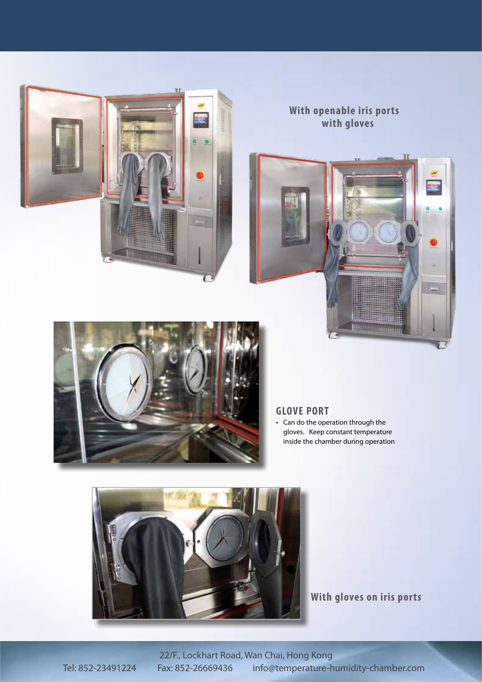

## **With openable iris ports with gloves**





### **GLOVE PORT**

• Can do the operation through the gloves. Keep constant temperature inside the chamber during operation



**With gloves on iris ports**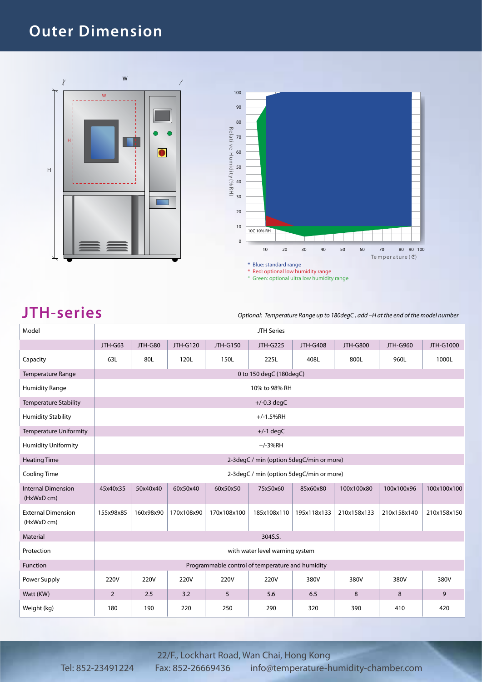## **Outer Dimension**



#### \* Green: optional ultra low humidity range

**JTH-series** *Optional: Temperature Range up to 180degC , add –H at the end of the model number*

| Model                                   | <b>JTH Series</b>                                |             |            |                 |                                          |                 |                 |                 |             |  |  |
|-----------------------------------------|--------------------------------------------------|-------------|------------|-----------------|------------------------------------------|-----------------|-----------------|-----------------|-------------|--|--|
|                                         | JTH-G63                                          | JTH-G80     | JTH-G120   | <b>JTH-G150</b> | <b>JTH-G225</b>                          | <b>JTH-G408</b> | <b>JTH-G800</b> | <b>JTH-G960</b> | JTH-G1000   |  |  |
| Capacity                                | 63L                                              | 80L         | 120L       | 150L            | 225L                                     | 408L            | 800L            | 960L            | 1000L       |  |  |
| Temperature Range                       | 0 to 150 degC (180degC)                          |             |            |                 |                                          |                 |                 |                 |             |  |  |
| <b>Humidity Range</b>                   | 10% to 98% RH                                    |             |            |                 |                                          |                 |                 |                 |             |  |  |
| <b>Temperature Stability</b>            |                                                  |             |            |                 | $+/-0.3$ degC                            |                 |                 |                 |             |  |  |
| <b>Humidity Stability</b>               |                                                  | $+/-1.5%RH$ |            |                 |                                          |                 |                 |                 |             |  |  |
| <b>Temperature Uniformity</b>           |                                                  | $+/-1$ degC |            |                 |                                          |                 |                 |                 |             |  |  |
| <b>Humidity Uniformity</b>              | $+/-3%RH$                                        |             |            |                 |                                          |                 |                 |                 |             |  |  |
| <b>Heating Time</b>                     | 2-3degC / min (option 5degC/min or more)         |             |            |                 |                                          |                 |                 |                 |             |  |  |
| <b>Cooling Time</b>                     |                                                  |             |            |                 | 2-3degC / min (option 5degC/min or more) |                 |                 |                 |             |  |  |
| <b>Internal Dimension</b><br>(HxWxD cm) | 45x40x35                                         | 50x40x40    | 60x50x40   | 60x50x50        | 75x50x60                                 | 85x60x80        | 100x100x80      | 100x100x96      | 100x100x100 |  |  |
| <b>External Dimension</b><br>(HxWxD cm) | 155x98x85                                        | 160x98x90   | 170x108x90 | 170x108x100     | 185x108x110                              | 195x118x133     | 210x158x133     | 210x158x140     | 210x158x150 |  |  |
| Material                                | 304S.S.                                          |             |            |                 |                                          |                 |                 |                 |             |  |  |
| Protection                              | with water level warning system                  |             |            |                 |                                          |                 |                 |                 |             |  |  |
| Function                                | Programmable control of temperature and humidity |             |            |                 |                                          |                 |                 |                 |             |  |  |
| Power Supply                            | 220V                                             | 220V        | 220V       | 220V            | 220V                                     | 380V            | 380V            | 380V            | 380V        |  |  |
| Watt (KW)                               | $\overline{2}$                                   | 2.5         | 3.2        | 5               | 5.6                                      | 6.5             | 8               | 8               | 9           |  |  |
| Weight (kg)                             | 180                                              | 190         | 220        | 250             | 290                                      | 320             | 390             | 410             | 420         |  |  |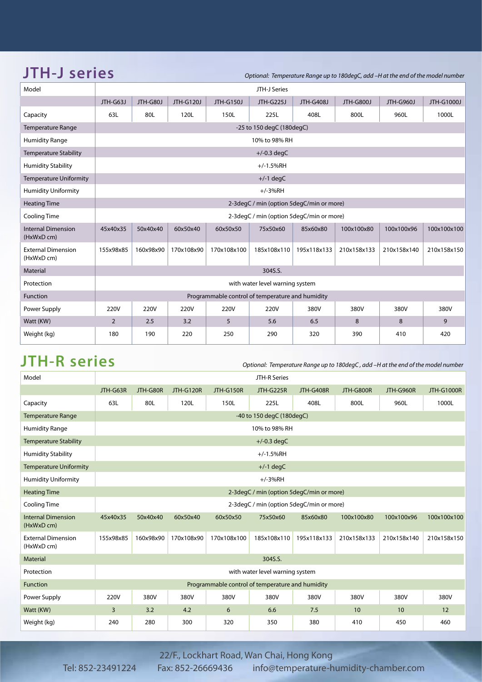| <b>JTH-J series</b>                     |                                                  |           |            |             | Optional: Temperature Range up to 180degC, add -H at the end of the model number |                  |                  |                  |             |  |
|-----------------------------------------|--------------------------------------------------|-----------|------------|-------------|----------------------------------------------------------------------------------|------------------|------------------|------------------|-------------|--|
| Model                                   | JTH-J Series                                     |           |            |             |                                                                                  |                  |                  |                  |             |  |
|                                         | JTH-G63J                                         | JTH-G80J  | JTH-G120J  | JTH-G150J   | <b>JTH-G225J</b>                                                                 | <b>JTH-G408J</b> | <b>JTH-G800J</b> | <b>JTH-G960J</b> | JTH-G1000J  |  |
| Capacity                                | 63L                                              | 80L       | 120L       | 150L        | 225L                                                                             | 408L             | 800L             | 960L             | 1000L       |  |
| <b>Temperature Range</b>                |                                                  |           |            |             | -25 to 150 degC (180degC)                                                        |                  |                  |                  |             |  |
| <b>Humidity Range</b>                   |                                                  |           |            |             | 10% to 98% RH                                                                    |                  |                  |                  |             |  |
| <b>Temperature Stability</b>            |                                                  |           |            |             | $+/-0.3$ degC                                                                    |                  |                  |                  |             |  |
| <b>Humidity Stability</b>               |                                                  |           |            |             | $+/-1.5%$ RH                                                                     |                  |                  |                  |             |  |
| <b>Temperature Uniformity</b>           |                                                  |           |            |             | $+/-1$ degC                                                                      |                  |                  |                  |             |  |
| <b>Humidity Uniformity</b>              |                                                  |           |            |             | $+/-3%RH$                                                                        |                  |                  |                  |             |  |
| <b>Heating Time</b>                     |                                                  |           |            |             | 2-3degC / min (option 5degC/min or more)                                         |                  |                  |                  |             |  |
| Cooling Time                            |                                                  |           |            |             | 2-3degC / min (option 5degC/min or more)                                         |                  |                  |                  |             |  |
| <b>Internal Dimension</b><br>(HxWxD cm) | 45x40x35                                         | 50x40x40  | 60x50x40   | 60x50x50    | 75x50x60                                                                         | 85x60x80         | 100x100x80       | 100x100x96       | 100x100x100 |  |
| <b>External Dimension</b><br>(HxWxD cm) | 155x98x85                                        | 160x98x90 | 170x108x90 | 170x108x100 | 185x108x110                                                                      | 195x118x133      | 210x158x133      | 210x158x140      | 210x158x150 |  |
| Material                                | 304S.S.                                          |           |            |             |                                                                                  |                  |                  |                  |             |  |
| Protection                              | with water level warning system                  |           |            |             |                                                                                  |                  |                  |                  |             |  |
| Function                                | Programmable control of temperature and humidity |           |            |             |                                                                                  |                  |                  |                  |             |  |
| Power Supply                            | 220V                                             | 220V      | 220V       | 220V        | 220V                                                                             | 380V             | 380V             | 380V             | 380V        |  |
| Watt (KW)                               | 2                                                | 2.5       | 3.2        | 5           | 5.6                                                                              | 6.5              | 8                | 8                | 9           |  |

Weight (kg) 180 190 220 250 290 320 390 410 420

**JTH-R series** *Optional: Temperature Range up to 180degC , add –H at the end of the model number*

| Model                                   | JTH-R Series                                     |           |            |             |                                          |             |             |             |                   |
|-----------------------------------------|--------------------------------------------------|-----------|------------|-------------|------------------------------------------|-------------|-------------|-------------|-------------------|
|                                         | JTH-G63R                                         | JTH-G80R  | JTH-G120R  | JTH-G150R   | JTH-G225R                                | JTH-G408R   | JTH-G800R   | JTH-G960R   | <b>JTH-G1000R</b> |
| Capacity                                | 63L                                              | 80L       | 120L       | 150L        | 225L                                     | 408L        | 800L        | 960L        | 1000L             |
| <b>Temperature Range</b>                |                                                  |           |            |             | -40 to 150 degC (180degC)                |             |             |             |                   |
| <b>Humidity Range</b>                   | 10% to 98% RH                                    |           |            |             |                                          |             |             |             |                   |
| <b>Temperature Stability</b>            |                                                  |           |            |             | $+/-0.3$ degC                            |             |             |             |                   |
| <b>Humidity Stability</b>               |                                                  |           |            |             | $+/-1.5%$ RH                             |             |             |             |                   |
| <b>Temperature Uniformity</b>           |                                                  |           |            |             | $+/-1$ degC                              |             |             |             |                   |
| <b>Humidity Uniformity</b>              | $+/-3%RH$                                        |           |            |             |                                          |             |             |             |                   |
| <b>Heating Time</b>                     | 2-3degC / min (option 5degC/min or more)         |           |            |             |                                          |             |             |             |                   |
| <b>Cooling Time</b>                     |                                                  |           |            |             | 2-3degC / min (option 5degC/min or more) |             |             |             |                   |
| <b>Internal Dimension</b><br>(HxWxD cm) | 45x40x35                                         | 50x40x40  | 60x50x40   | 60x50x50    | 75x50x60                                 | 85x60x80    | 100x100x80  | 100x100x96  | 100x100x100       |
| <b>External Dimension</b><br>(HxWxD cm) | 155x98x85                                        | 160x98x90 | 170x108x90 | 170x108x100 | 185x108x110                              | 195x118x133 | 210x158x133 | 210x158x140 | 210x158x150       |
| Material                                | 304S.S.                                          |           |            |             |                                          |             |             |             |                   |
| Protection                              | with water level warning system                  |           |            |             |                                          |             |             |             |                   |
| Function                                | Programmable control of temperature and humidity |           |            |             |                                          |             |             |             |                   |
| Power Supply                            | 220V                                             | 380V      | 380V       | 380V        | 380V                                     | 380V        | 380V        | 380V        | 380V              |
| Watt (KW)                               | 3                                                | 3.2       | 4.2        | 6           | 6.6                                      | 7.5         | 10          | 10          | 12                |
| Weight (kg)                             | 240                                              | 280       | 300        | 320         | 350                                      | 380         | 410         | 450         | 460               |